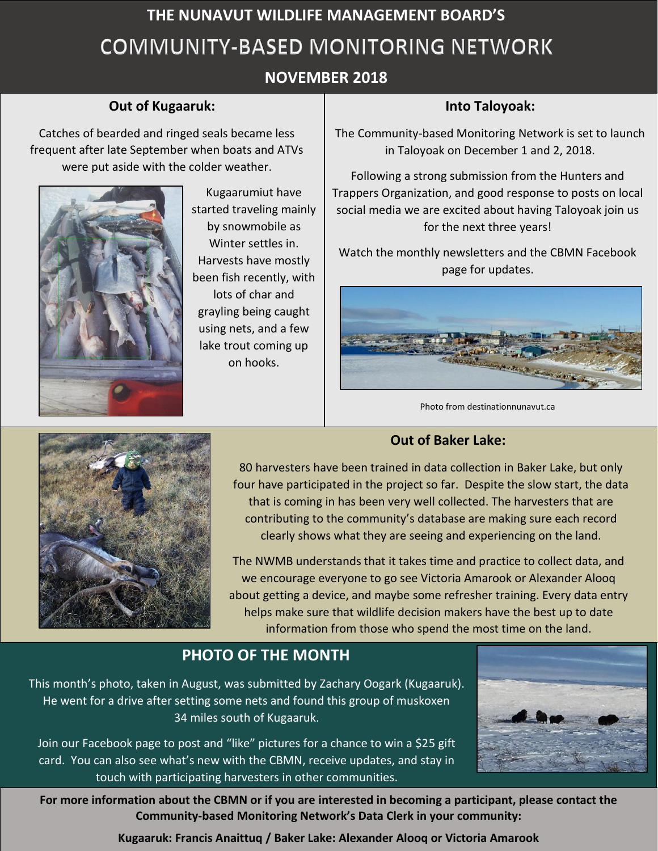# **THE NUNAVUT WILDLIFE MANAGEMENT BOARD'S** COMMUNITY-BASED MONITORING NETWORK

# **NOVEMBER 2018**

#### **Out of Kugaaruk:**

 $T_{\text{m}}$  and  $T_{\text{m}}$ Catches of bearded and ringed seals became less frequent after late September when boats and ATVs were put aside with the colder weather.



Kugaarumiut have started traveling mainly by snowmobile as Winter settles in. Harvests have mostly been fish recently, with lots of char and grayling being caught using nets, and a few lake trout coming up on hooks.

#### **Into Taloyoak:**

The Community-based Monitoring Network is set to launch in Taloyoak on December 1 and 2, 2018.

Following a strong submission from the Hunters and Trappers Organization, and good response to posts on local social media we are excited about having Taloyoak join us for the next three years!

Watch the monthly newsletters and the CBMN Facebook page for updates.



Photo from destinationnunavut.ca





80 harvesters have been trained in data collection in Baker Lake, but only four have participated in the project so far. Despite the slow start, the data that is coming in has been very well collected. The harvesters that are contributing to the community's database are making sure each record clearly shows what they are seeing and experiencing on the land.

The NWMB understands that it takes time and practice to collect data, and we encourage everyone to go see Victoria Amarook or Alexander Alooq about getting a device, and maybe some refresher training. Every data entry helps make sure that wildlife decision makers have the best up to date information from those who spend the most time on the land.

# **PHOTO OF THE MONTH**

This month's photo, taken in August, was submitted by Zachary Oogark (Kugaaruk). He went for a drive after setting some nets and found this group of muskoxen 34 miles south of Kugaaruk.

Join our Facebook page to post and "like" pictures for a chance to win a \$25 gift card. You can also see what's new with the CBMN, receive updates, and stay in touch with participating harvesters in other communities.



**For more information about the CBMN or if you are interested in becoming a participant, please contact the Community-based Monitoring Network's Data Clerk in your community:**

**Kugaaruk: Francis Anaittuq / Baker Lake: Alexander Alooq or Victoria Amarook**